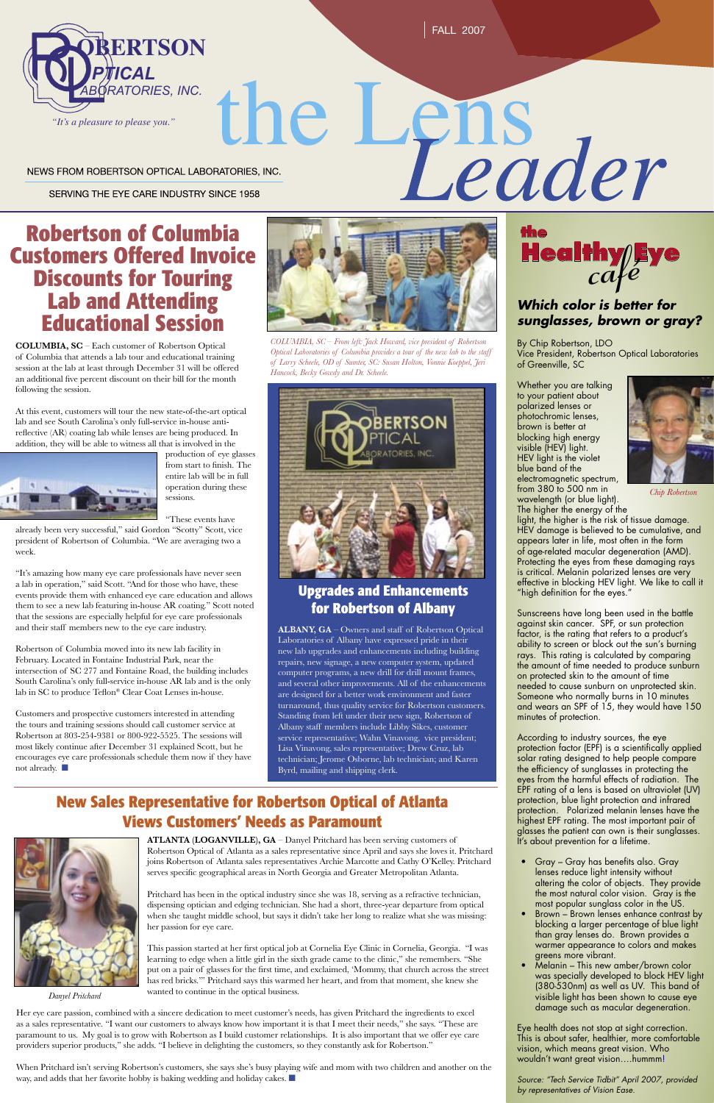FALL 2007

SERVING THE EYE CARE INDUSTRY SINCE 1958

### **Robertson of Columbia Customers Offered Invoice Discounts for Touring Lab and Attending Educational Session**

**COLUMBIA, SC** – Each customer of Robertson Optical of Columbia that attends a lab tour and educational training session at the lab at least through December 31 will be offered an additional five percent discount on their bill for the month following the session.

At this event, customers will tour the new state-of-the-art optical lab and see South Carolina's only full-service in-house antireflective (AR) coating lab while lenses are being produced. In addition, they will be able to witness all that is involved in the



production of eye glasses from start to finish. The entire lab will be in full operation during these sessions.

"These events have

Customers and prospective customers interested in attending the tours and training sessions should call customer service at Robertson at 803-254-9381 or 800-922-5525. The sessions will most likely continue after December 31 explained Scott, but he encourages eye care professionals schedule them now if they have not already. ■

already been very successful," said Gordon "Scotty" Scott, vice president of Robertson of Columbia. "We are averaging two a week.

"It's amazing how many eye care professionals have never seen a lab in operation," said Scott. "And for those who have, these events provide them with enhanced eye care education and allows them to see a new lab featuring in-house AR coating." Scott noted that the sessions are especially helpful for eye care professionals and their staff members new to the eye care industry.

Robertson of Columbia moved into its new lab facility in February. Located in Fontaine Industrial Park, near the intersection of SC 277 and Fontaine Road, the building includes South Carolina's only full-service in-house AR lab and is the only lab in SC to produce Teflon® Clear Coat Lenses in-house.



# le Lens<br>Leader NEWS FROM ROBERTSON OPTICAL LABORATORIES, INC.

**ATLANTA (LOGANVILLE), GA** – Danyel Pritchard has been serving customers of Robertson Optical of Atlanta as a sales representative since April and says she loves it. Pritchard joins Robertson of Atlanta sales representatives Archie Marcotte and Cathy O'Kelley. Pritchard serves specific geographical areas in North Georgia and Greater Metropolitan Atlanta.

Pritchard has been in the optical industry since she was 18, serving as a refractive technician, dispensing optician and edging technician. She had a short, three-year departure from optical when she taught middle school, but says it didn't take her long to realize what she was missing: her passion for eye care.

This passion started at her first optical job at Cornelia Eye Clinic in Cornelia, Georgia. "I was learning to edge when a little girl in the sixth grade came to the clinic," she remembers. "She put on a pair of glasses for the first time, and exclaimed, 'Mommy, that church across the street has red bricks.'" Pritchard says this warmed her heart, and from that moment, she knew she wanted to continue in the optical business.

- Gray Gray has benefits also. Gray lenses reduce light intensity without altering the color of objects. They provide the most natural color vision. Gray is the most popular sunglass color in the US.
- Brown Brown lenses enhance contrast by blocking a larger percentage of blue light than gray lenses do. Brown provides a warmer appearance to colors and makes greens more vibrant.
- Melanin This new amber/brown color was specially developed to block HEV light (380-530nm) as well as UV. This band of visible light has been shown to cause eye damage such as macular degeneration.

Her eye care passion, combined with a sincere dedication to meet customer's needs, has given Pritchard the ingredients to excel as a sales representative. "I want our customers to always know how important it is that I meet their needs," she says. "These are paramount to us. My goal is to grow with Robertson as I build customer relationships. It is also important that we offer eye care providers superior products," she adds. "I believe in delighting the customers, so they constantly ask for Robertson."

When Pritchard isn't serving Robertson's customers, she says she's busy playing wife and mom with two children and another on the way, and adds that her favorite hobby is baking wedding and holiday cakes. ■

#### **Which color is better for sunglasses, brown or gray?**

By Chip Robertson, LDO Vice President, Robertson Optical Laboratories of Greenville, SC

Whether you are talking to your patient about polarized lenses or photochromic lenses, brown is better at blocking high energy visible (HEV) light. HEV light is the violet blue band of the electromagnetic spectrum, from 380 to 500 nm in wavelength (or blue light).



The higher the energy of the light, the higher is the risk of tissue damage. HEV damage is believed to be cumulative, and appears later in life, most often in the form of age-related macular degeneration (AMD). Protecting the eyes from these damaging rays is critical. Melanin polarized lenses are very effective in blocking HEV light. We like to call it "high definition for the eyes."

Sunscreens have long been used in the battle against skin cancer. SPF, or sun protection factor, is the rating that refers to a product's ability to screen or block out the sun's burning rays. This rating is calculated by comparing the amount of time needed to produce sunburn on protected skin to the amount of time needed to cause sunburn on unprotected skin. Someone who normally burns in 10 minutes and wears an SPF of 15, they would have 150 minutes of protection.

According to industry sources, the eye protection factor (EPF) is a scientifically applied solar rating designed to help people compare the efficiency of sunglasses in protecting the eyes from the harmful effects of radiation. The EPF rating of a lens is based on ultraviolet (UV) protection, blue light protection and infrared protection. Polarized melanin lenses have the highest EPF rating. The most important pair of glasses the patient can own is their sunglasses. It's about prevention for a lifetime.



Eye health does not stop at sight correction. This is about safer, healthier, more comfortable vision, which means great vision. Who wouldn't want great vision….hummm!

Source: "Tech Service Tidbit" April 2007, provided by representatives of Vision Ease.



*Danyel Pritchard*

#### **Upgrades and Enhancements for Robertson of Albany**

**ALBANY, GA** – Owners and staff of Robertson Optical Laboratories of Albany have expressed pride in their new lab upgrades and enhancements including building repairs, new signage, a new computer system, updated computer programs, a new drill for drill mount frames, and several other improvements. All of the enhancements are designed for a better work environment and faster turnaround, thus quality service for Robertson customers. Standing from left under their new sign, Robertson of Albany staff members include Libby Sikes, customer service representative; Wahn Vinavong, vice president; Lisa Vinavong, sales representative; Drew Cruz, lab technician; Jerome Osborne, lab technician; and Karen Byrd, mailing and shipping clerk.

#### **New Sales Representative for Robertson Optical of Atlanta Views Customers' Needs as Paramount**



*COLUMBIA, SC – From left: Jack Howard, vice president of Robertson Optical Laboratories of Columbia provides a tour of the new lab to the staff of Larry Scheele, OD of Sumter, SC: Susan Holton, Vonnie Koeppel, Jeri Hancock, Becky Gowdy and Dr. Scheele.*



*Chip Robertson*